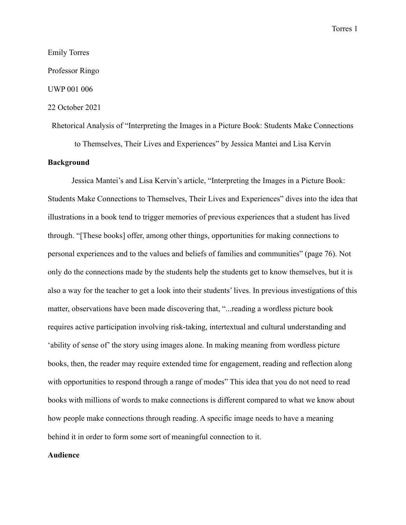## Emily Torres

Professor Ringo

UWP 001 006

## 22 October 2021

Rhetorical Analysis of "Interpreting the Images in a Picture Book: Students Make Connections

to Themselves, Their Lives and Experiences" by Jessica Mantei and Lisa Kervin

## **Background**

Jessica Mantei's and Lisa Kervin's article, "Interpreting the Images in a Picture Book: Students Make Connections to Themselves, Their Lives and Experiences" dives into the idea that illustrations in a book tend to trigger memories of previous experiences that a student has lived through. "[These books] offer, among other things, opportunities for making connections to personal experiences and to the values and beliefs of families and communities" (page 76). Not only do the connections made by the students help the students get to know themselves, but it is also a way for the teacher to get a look into their students' lives. In previous investigations of this matter, observations have been made discovering that, "...reading a wordless picture book requires active participation involving risk-taking, intertextual and cultural understanding and 'ability of sense of' the story using images alone. In making meaning from wordless picture books, then, the reader may require extended time for engagement, reading and reflection along with opportunities to respond through a range of modes" This idea that you do not need to read books with millions of words to make connections is different compared to what we know about how people make connections through reading. A specific image needs to have a meaning behind it in order to form some sort of meaningful connection to it.

#### **Audience**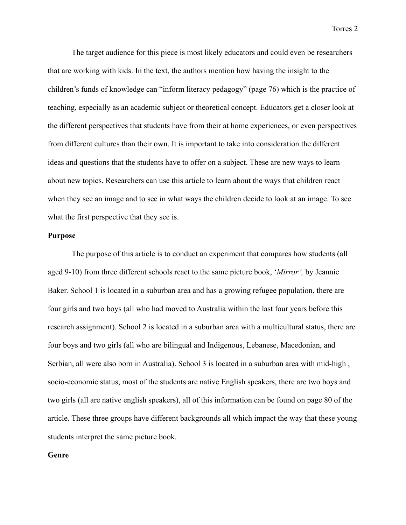The target audience for this piece is most likely educators and could even be researchers that are working with kids. In the text, the authors mention how having the insight to the children's funds of knowledge can "inform literacy pedagogy" (page 76) which is the practice of teaching, especially as an academic subject or theoretical concept. Educators get a closer look at the different perspectives that students have from their at home experiences, or even perspectives from different cultures than their own. It is important to take into consideration the different ideas and questions that the students have to offer on a subject. These are new ways to learn about new topics. Researchers can use this article to learn about the ways that children react when they see an image and to see in what ways the children decide to look at an image. To see what the first perspective that they see is.

### **Purpose**

The purpose of this article is to conduct an experiment that compares how students (all aged 9-10) from three different schools react to the same picture book, '*Mirror',* by Jeannie Baker. School 1 is located in a suburban area and has a growing refugee population, there are four girls and two boys (all who had moved to Australia within the last four years before this research assignment). School 2 is located in a suburban area with a multicultural status, there are four boys and two girls (all who are bilingual and Indigenous, Lebanese, Macedonian, and Serbian, all were also born in Australia). School 3 is located in a suburban area with mid-high , socio-economic status, most of the students are native English speakers, there are two boys and two girls (all are native english speakers), all of this information can be found on page 80 of the article. These three groups have different backgrounds all which impact the way that these young students interpret the same picture book.

#### **Genre**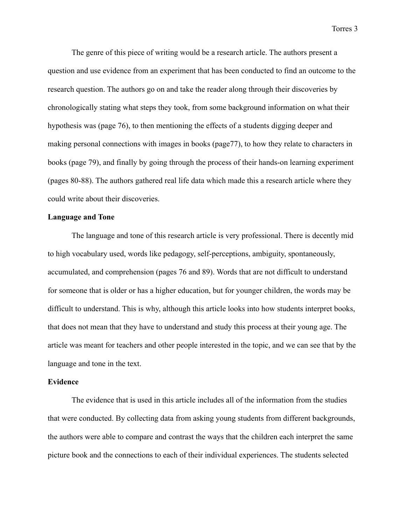The genre of this piece of writing would be a research article. The authors present a question and use evidence from an experiment that has been conducted to find an outcome to the research question. The authors go on and take the reader along through their discoveries by chronologically stating what steps they took, from some background information on what their hypothesis was (page 76), to then mentioning the effects of a students digging deeper and making personal connections with images in books (page77), to how they relate to characters in books (page 79), and finally by going through the process of their hands-on learning experiment (pages 80-88). The authors gathered real life data which made this a research article where they could write about their discoveries.

# **Language and Tone**

The language and tone of this research article is very professional. There is decently mid to high vocabulary used, words like pedagogy, self-perceptions, ambiguity, spontaneously, accumulated, and comprehension (pages 76 and 89). Words that are not difficult to understand for someone that is older or has a higher education, but for younger children, the words may be difficult to understand. This is why, although this article looks into how students interpret books, that does not mean that they have to understand and study this process at their young age. The article was meant for teachers and other people interested in the topic, and we can see that by the language and tone in the text.

### **Evidence**

The evidence that is used in this article includes all of the information from the studies that were conducted. By collecting data from asking young students from different backgrounds, the authors were able to compare and contrast the ways that the children each interpret the same picture book and the connections to each of their individual experiences. The students selected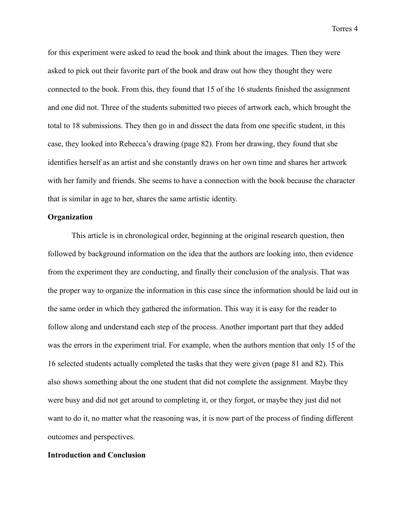for this experiment were asked to read the book and think about the images. Then they were asked to pick out their favorite part of the book and draw out how they thought they were connected to the book. From this, they found that 15 of the 16 students finished the assignment and one did not. Three of the students submitted two pieces of artwork each, which brought the total to 18 submissions. They then go in and dissect the data from one specific student, in this case, they looked into Rebecca's drawing (page 82). From her drawing, they found that she identifies herself as an artist and she constantly draws on her own time and shares her artwork with her family and friends. She seems to have a connection with the book because the character that is similar in age to her, shares the same artistic identity.

### **Organization**

This article is in chronological order, beginning at the original research question, then followed by background information on the idea that the authors are looking into, then evidence from the experiment they are conducting, and finally their conclusion of the analysis. That was the proper way to organize the information in this case since the information should be laid out in the same order in which they gathered the information. This way it is easy for the reader to follow along and understand each step of the process. Another important part that they added was the errors in the experiment trial. For example, when the authors mention that only 15 of the 16 selected students actually completed the tasks that they were given (page 81 and 82). This also shows something about the one student that did not complete the assignment. Maybe they were busy and did not get around to completing it, or they forgot, or maybe they just did not want to do it, no matter what the reasoning was, it is now part of the process of finding different outcomes and perspectives.

### **Introduction and Conclusion**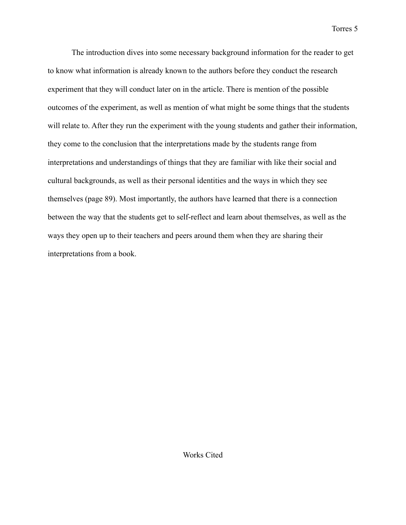The introduction dives into some necessary background information for the reader to get to know what information is already known to the authors before they conduct the research experiment that they will conduct later on in the article. There is mention of the possible outcomes of the experiment, as well as mention of what might be some things that the students will relate to. After they run the experiment with the young students and gather their information, they come to the conclusion that the interpretations made by the students range from interpretations and understandings of things that they are familiar with like their social and cultural backgrounds, as well as their personal identities and the ways in which they see themselves (page 89). Most importantly, the authors have learned that there is a connection between the way that the students get to self-reflect and learn about themselves, as well as the ways they open up to their teachers and peers around them when they are sharing their interpretations from a book.